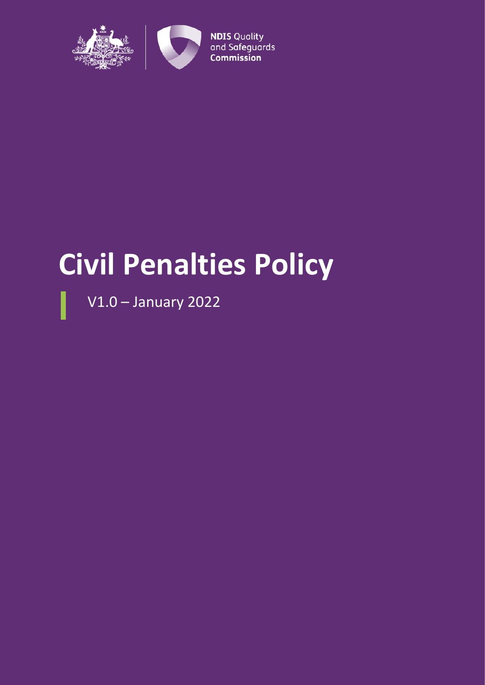

# **Civil Penalties Policy**

V1.0 – January 2022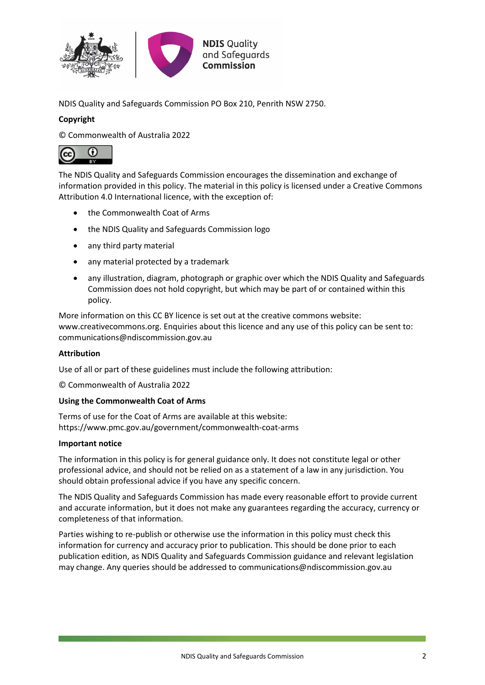

NDIS Quality and Safeguards Commission PO Box 210, Penrith NSW 2750.

#### **Copyright**

© Commonwealth of Australia 2022



The NDIS Quality and Safeguards Commission encourages the dissemination and exchange of information provided in this policy. The material in this policy is licensed under a Creative Commons Attribution 4.0 International licence, with the exception of:

- the Commonwealth Coat of Arms
- the NDIS Quality and Safeguards Commission logo
- any third party material
- any material protected by a trademark
- any illustration, diagram, photograph or graphic over which the NDIS Quality and Safeguards Commission does not hold copyright, but which may be part of or contained within this policy.

More information on this CC BY licence is set out at the creative commons website: www.creativecommons.org. Enquiries about this licence and any use of this policy can be sent to: communications@ndiscommission.gov.au

#### **Attribution**

Use of all or part of these guidelines must include the following attribution:

© Commonwealth of Australia 2022

#### **Using the Commonwealth Coat of Arms**

Terms of use for the Coat of Arms are available at this website: https://www.pmc.gov.au/government/commonwealth-coat-arms

#### **Important notice**

The information in this policy is for general guidance only. It does not constitute legal or other professional advice, and should not be relied on as a statement of a law in any jurisdiction. You should obtain professional advice if you have any specific concern.

The NDIS Quality and Safeguards Commission has made every reasonable effort to provide current and accurate information, but it does not make any guarantees regarding the accuracy, currency or completeness of that information.

Parties wishing to re-publish or otherwise use the information in this policy must check this information for currency and accuracy prior to publication. This should be done prior to each publication edition, as NDIS Quality and Safeguards Commission guidance and relevant legislation may change. Any queries should be addressed to communications@ndiscommission.gov.au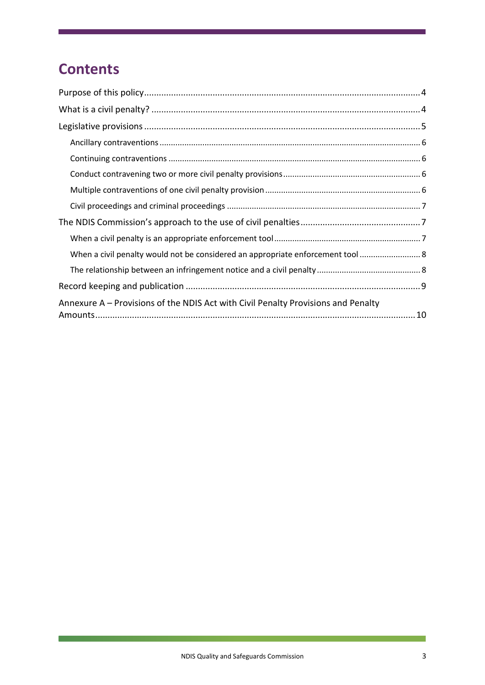## **Contents**

| When a civil penalty would not be considered an appropriate enforcement tool  8   |
|-----------------------------------------------------------------------------------|
|                                                                                   |
|                                                                                   |
| Annexure A – Provisions of the NDIS Act with Civil Penalty Provisions and Penalty |

 $\overline{\phantom{0}}$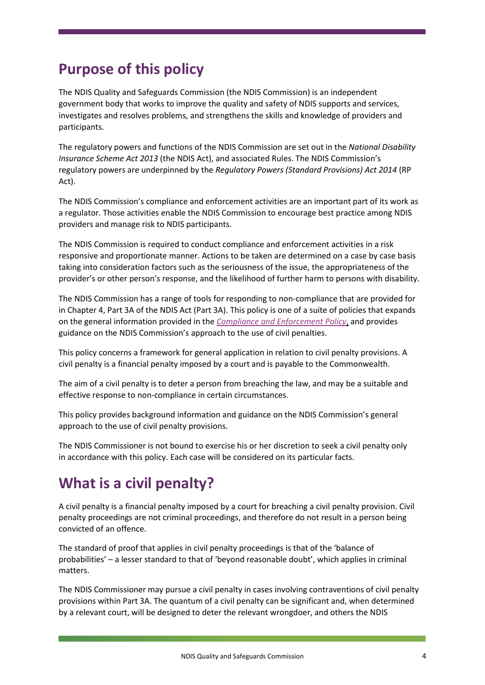## <span id="page-3-0"></span>**Purpose of this policy**

The NDIS Quality and Safeguards Commission (the NDIS Commission) is an independent government body that works to improve the quality and safety of NDIS supports and services, investigates and resolves problems, and strengthens the skills and knowledge of providers and participants.

The regulatory powers and functions of the NDIS Commission are set out in the *National Disability Insurance Scheme Act 2013* (the NDIS Act), and associated Rules. The NDIS Commission's regulatory powers are underpinned by the *Regulatory Powers (Standard Provisions) Act 2014* (RP Act).

The NDIS Commission's compliance and enforcement activities are an important part of its work as a regulator. Those activities enable the NDIS Commission to encourage best practice among NDIS providers and manage risk to NDIS participants.

The NDIS Commission is required to conduct compliance and enforcement activities in a risk responsive and proportionate manner. Actions to be taken are determined on a case by case basis taking into consideration factors such as the seriousness of the issue, the appropriateness of the provider's or other person's response, and the likelihood of further harm to persons with disability.

The NDIS Commission has a range of tools for responding to non-compliance that are provided for in Chapter 4, Part 3A of the NDIS Act (Part 3A). This policy is one of a suite of policies that expands on the general information provided in the *[Compliance and Enforcement Policy](https://www.ndiscommission.gov.au/document/666)*, and provides guidance on the NDIS Commission's approach to the use of civil penalties.

This policy concerns a framework for general application in relation to civil penalty provisions. A civil penalty is a financial penalty imposed by a court and is payable to the Commonwealth.

The aim of a civil penalty is to deter a person from breaching the law, and may be a suitable and effective response to non-compliance in certain circumstances.

This policy provides background information and guidance on the NDIS Commission's general approach to the use of civil penalty provisions.

The NDIS Commissioner is not bound to exercise his or her discretion to seek a civil penalty only in accordance with this policy. Each case will be considered on its particular facts.

# <span id="page-3-1"></span>**What is a civil penalty?**

A civil penalty is a financial penalty imposed by a court for breaching a civil penalty provision. Civil penalty proceedings are not criminal proceedings, and therefore do not result in a person being convicted of an offence.

The standard of proof that applies in civil penalty proceedings is that of the 'balance of probabilities' – a lesser standard to that of 'beyond reasonable doubt', which applies in criminal matters.

The NDIS Commissioner may pursue a civil penalty in cases involving contraventions of civil penalty provisions within Part 3A. The quantum of a civil penalty can be significant and, when determined by a relevant court, will be designed to deter the relevant wrongdoer, and others the NDIS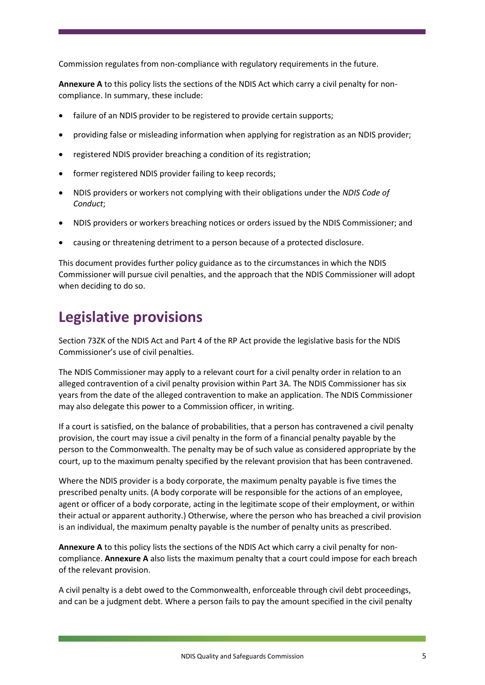Commission regulates from non-compliance with regulatory requirements in the future.

**Annexure A** to this policy lists the sections of the NDIS Act which carry a civil penalty for noncompliance. In summary, these include:

- failure of an NDIS provider to be registered to provide certain supports;
- providing false or misleading information when applying for registration as an NDIS provider;
- registered NDIS provider breaching a condition of its registration;
- former registered NDIS provider failing to keep records;
- NDIS providers or workers not complying with their obligations under the *NDIS Code of Conduct*;
- NDIS providers or workers breaching notices or orders issued by the NDIS Commissioner; and
- causing or threatening detriment to a person because of a protected disclosure.

This document provides further policy guidance as to the circumstances in which the NDIS Commissioner will pursue civil penalties, and the approach that the NDIS Commissioner will adopt when deciding to do so.

## <span id="page-4-0"></span>**Legislative provisions**

Section 73ZK of the NDIS Act and Part 4 of the RP Act provide the legislative basis for the NDIS Commissioner's use of civil penalties.

The NDIS Commissioner may apply to a relevant court for a civil penalty order in relation to an alleged contravention of a civil penalty provision within Part 3A. The NDIS Commissioner has six years from the date of the alleged contravention to make an application. The NDIS Commissioner may also delegate this power to a Commission officer, in writing.

If a court is satisfied, on the balance of probabilities, that a person has contravened a civil penalty provision, the court may issue a civil penalty in the form of a financial penalty payable by the person to the Commonwealth. The penalty may be of such value as considered appropriate by the court, up to the maximum penalty specified by the relevant provision that has been contravened.

Where the NDIS provider is a body corporate, the maximum penalty payable is five times the prescribed penalty units. (A body corporate will be responsible for the actions of an employee, agent or officer of a body corporate, acting in the legitimate scope of their employment, or within their actual or apparent authority.) Otherwise, where the person who has breached a civil provision is an individual, the maximum penalty payable is the number of penalty units as prescribed.

**Annexure A** to this policy lists the sections of the NDIS Act which carry a civil penalty for noncompliance. **Annexure A** also lists the maximum penalty that a court could impose for each breach of the relevant provision.

A civil penalty is a debt owed to the Commonwealth, enforceable through civil debt proceedings, and can be a judgment debt. Where a person fails to pay the amount specified in the civil penalty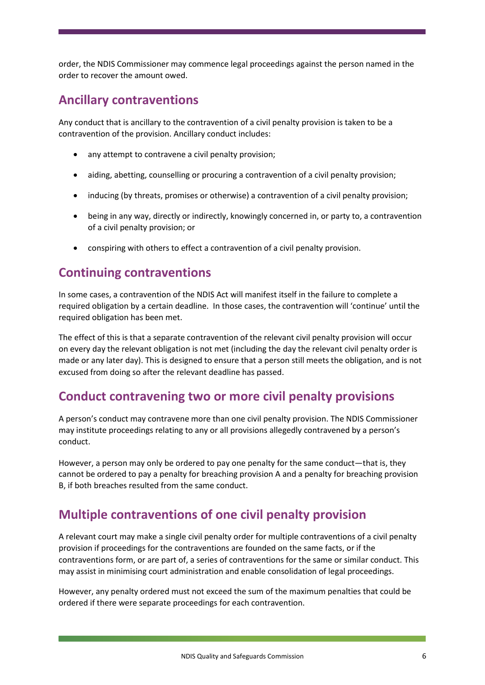order, the NDIS Commissioner may commence legal proceedings against the person named in the order to recover the amount owed.

#### <span id="page-5-0"></span>**Ancillary contraventions**

Any conduct that is ancillary to the contravention of a civil penalty provision is taken to be a contravention of the provision. Ancillary conduct includes:

- any attempt to contravene a civil penalty provision;
- aiding, abetting, counselling or procuring a contravention of a civil penalty provision;
- inducing (by threats, promises or otherwise) a contravention of a civil penalty provision;
- being in any way, directly or indirectly, knowingly concerned in, or party to, a contravention of a civil penalty provision; or
- conspiring with others to effect a contravention of a civil penalty provision.

#### <span id="page-5-1"></span>**Continuing contraventions**

In some cases, a contravention of the NDIS Act will manifest itself in the failure to complete a required obligation by a certain deadline. In those cases, the contravention will 'continue' until the required obligation has been met.

The effect of this is that a separate contravention of the relevant civil penalty provision will occur on every day the relevant obligation is not met (including the day the relevant civil penalty order is made or any later day). This is designed to ensure that a person still meets the obligation, and is not excused from doing so after the relevant deadline has passed.

#### <span id="page-5-2"></span>**Conduct contravening two or more civil penalty provisions**

A person's conduct may contravene more than one civil penalty provision. The NDIS Commissioner may institute proceedings relating to any or all provisions allegedly contravened by a person's conduct.

However, a person may only be ordered to pay one penalty for the same conduct—that is, they cannot be ordered to pay a penalty for breaching provision A and a penalty for breaching provision B, if both breaches resulted from the same conduct.

### <span id="page-5-3"></span>**Multiple contraventions of one civil penalty provision**

A relevant court may make a single civil penalty order for multiple contraventions of a civil penalty provision if proceedings for the contraventions are founded on the same facts, or if the contraventions form, or are part of, a series of contraventions for the same or similar conduct. This may assist in minimising court administration and enable consolidation of legal proceedings.

However, any penalty ordered must not exceed the sum of the maximum penalties that could be ordered if there were separate proceedings for each contravention.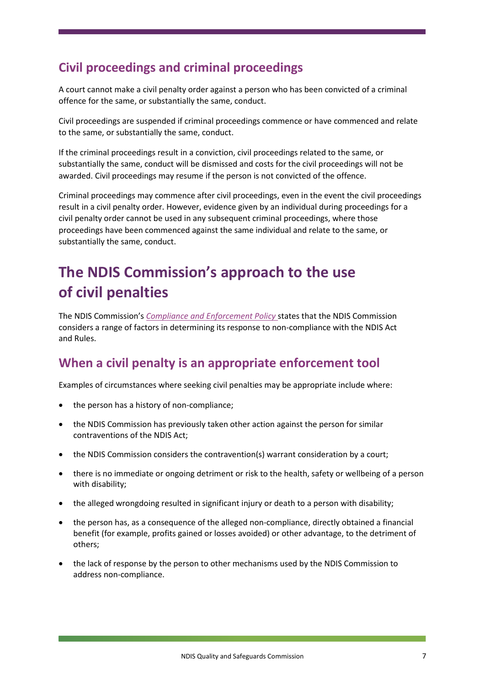## <span id="page-6-0"></span>**Civil proceedings and criminal proceedings**

A court cannot make a civil penalty order against a person who has been convicted of a criminal offence for the same, or substantially the same, conduct.

Civil proceedings are suspended if criminal proceedings commence or have commenced and relate to the same, or substantially the same, conduct.

If the criminal proceedings result in a conviction, civil proceedings related to the same, or substantially the same, conduct will be dismissed and costs for the civil proceedings will not be awarded. Civil proceedings may resume if the person is not convicted of the offence.

Criminal proceedings may commence after civil proceedings, even in the event the civil proceedings result in a civil penalty order. However, evidence given by an individual during proceedings for a civil penalty order cannot be used in any subsequent criminal proceedings, where those proceedings have been commenced against the same individual and relate to the same, or substantially the same, conduct.

# <span id="page-6-1"></span>**The NDIS Commission's approach to the use of civil penalties**

The NDIS Commission's *[Compliance and Enforcement Policy](https://www.ndiscommission.gov.au/document/666)* states that the NDIS Commission considers a range of factors in determining its response to non-compliance with the NDIS Act and Rules.

#### <span id="page-6-2"></span>**When a civil penalty is an appropriate enforcement tool**

Examples of circumstances where seeking civil penalties may be appropriate include where:

- the person has a history of non-compliance;
- the NDIS Commission has previously taken other action against the person for similar contraventions of the NDIS Act;
- the NDIS Commission considers the contravention(s) warrant consideration by a court;
- there is no immediate or ongoing detriment or risk to the health, safety or wellbeing of a person with disability;
- the alleged wrongdoing resulted in significant injury or death to a person with disability;
- the person has, as a consequence of the alleged non-compliance, directly obtained a financial benefit (for example, profits gained or losses avoided) or other advantage, to the detriment of others;
- the lack of response by the person to other mechanisms used by the NDIS Commission to address non-compliance.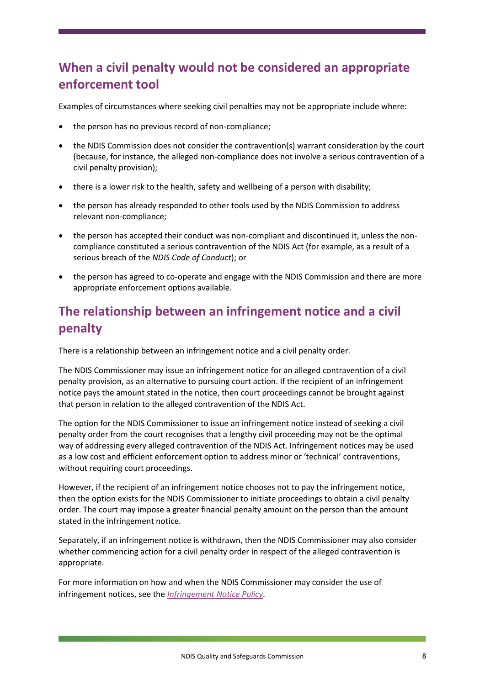## <span id="page-7-0"></span>**When a civil penalty would not be considered an appropriate enforcement tool**

Examples of circumstances where seeking civil penalties may not be appropriate include where:

- the person has no previous record of non-compliance;
- the NDIS Commission does not consider the contravention(s) warrant consideration by the court (because, for instance, the alleged non-compliance does not involve a serious contravention of a civil penalty provision);
- there is a lower risk to the health, safety and wellbeing of a person with disability;
- the person has already responded to other tools used by the NDIS Commission to address relevant non-compliance;
- the person has accepted their conduct was non-compliant and discontinued it, unless the noncompliance constituted a serious contravention of the NDIS Act (for example, as a result of a serious breach of the *NDIS Code of Conduct*); or
- the person has agreed to co-operate and engage with the NDIS Commission and there are more appropriate enforcement options available.

## <span id="page-7-1"></span>**The relationship between an infringement notice and a civil penalty**

There is a relationship between an infringement notice and a civil penalty order.

The NDIS Commissioner may issue an infringement notice for an alleged contravention of a civil penalty provision, as an alternative to pursuing court action. If the recipient of an infringement notice pays the amount stated in the notice, then court proceedings cannot be brought against that person in relation to the alleged contravention of the NDIS Act.

The option for the NDIS Commissioner to issue an infringement notice instead of seeking a civil penalty order from the court recognises that a lengthy civil proceeding may not be the optimal way of addressing every alleged contravention of the NDIS Act. Infringement notices may be used as a low cost and efficient enforcement option to address minor or 'technical' contraventions, without requiring court proceedings.

However, if the recipient of an infringement notice chooses not to pay the infringement notice, then the option exists for the NDIS Commissioner to initiate proceedings to obtain a civil penalty order. The court may impose a greater financial penalty amount on the person than the amount stated in the infringement notice.

Separately, if an infringement notice is withdrawn, then the NDIS Commissioner may also consider whether commencing action for a civil penalty order in respect of the alleged contravention is appropriate.

For more information on how and when the NDIS Commissioner may consider the use of infringement notices, see the *[Infringement Notice Policy](https://www.ndiscommission.gov.au/sites/default/files/documents/2019-06/infringement-notice-policy-final-june-2019.pdf#:~:text=The%20Commissioner%20must%20give%20the%20infringement%20notice%20within,a%20particular%20period%20or%20before%20a%20particular%20time.)*.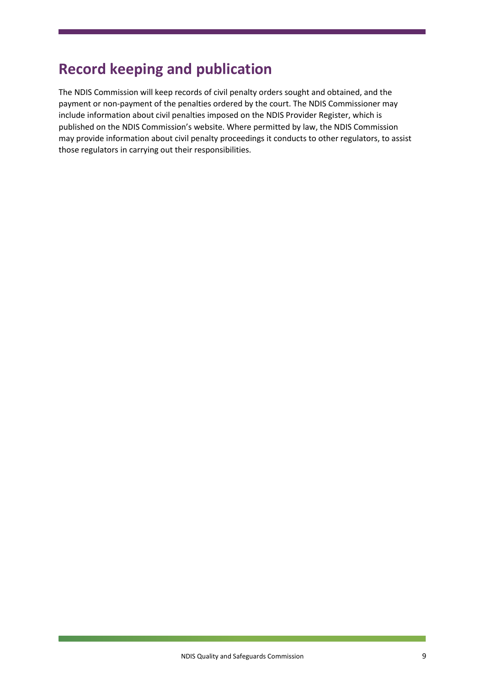## <span id="page-8-0"></span>**Record keeping and publication**

The NDIS Commission will keep records of civil penalty orders sought and obtained, and the payment or non-payment of the penalties ordered by the court. The NDIS Commissioner may include information about civil penalties imposed on the NDIS Provider Register, which is published on the NDIS Commission's website. Where permitted by law, the NDIS Commission may provide information about civil penalty proceedings it conducts to other regulators, to assist those regulators in carrying out their responsibilities.